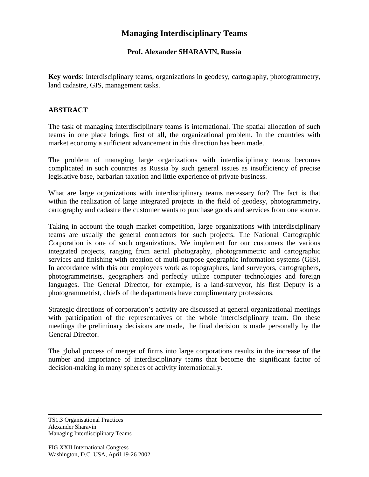## **Managing Interdisciplinary Teams**

## **Prof. Alexander SHARAVIN, Russia**

**Key words**: Interdisciplinary teams, organizations in geodesy, cartography, photogrammetry, land cadastre, GIS, management tasks.

## **ABSTRACT**

The task of managing interdisciplinary teams is international. The spatial allocation of such teams in one place brings, first of all, the organizational problem. In the countries with market economy a sufficient advancement in this direction has been made.

The problem of managing large organizations with interdisciplinary teams becomes complicated in such countries as Russia by such general issues as insufficiency of precise legislative base, barbarian taxation and little experience of private business.

What are large organizations with interdisciplinary teams necessary for? The fact is that within the realization of large integrated projects in the field of geodesy, photogrammetry, cartography and cadastre the customer wants to purchase goods and services from one source.

Taking in account the tough market competition, large organizations with interdisciplinary teams are usually the general contractors for such projects. The National Cartographic Corporation is one of such organizations. We implement for our customers the various integrated projects, ranging from aerial photography, photogrammetric and cartographic services and finishing with creation of multi-purpose geographic information systems (GIS). In accordance with this our employees work as topographers, land surveyors, cartographers, photogrammetrists, geographers and perfectly utilize computer technologies and foreign languages. The General Director, for example, is a land-surveyor, his first Deputy is a photogrammetrist, chiefs of the departments have complimentary professions.

Strategic directions of corporation's activity are discussed at general organizational meetings with participation of the representatives of the whole interdisciplinary team. On these meetings the preliminary decisions are made, the final decision is made personally by the General Director.

The global process of merger of firms into large corporations results in the increase of the number and importance of interdisciplinary teams that become the significant factor of decision-making in many spheres of activity internationally.

TS1.3 Organisational Practices Alexander Sharavin Managing Interdisciplinary Teams